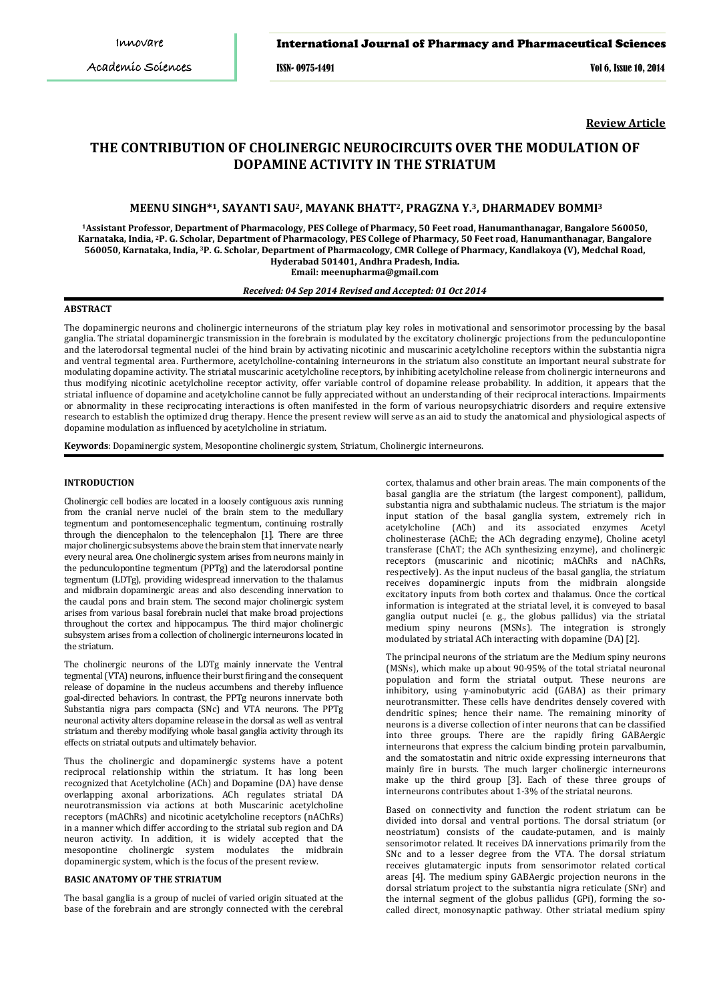# International Journal of Pharmacy and Pharmaceutical Sciences

ISSN- 0975-1491 Vol 6, Issue 10, 2014

**Review Article**

# **THE CONTRIBUTION OF CHOLINERGIC NEUROCIRCUITS OVER THE MODULATION OF DOPAMINE ACTIVITY IN THE STRIATUM**

# **MEENU SINGH\*1, SAYANTI SAU2, MAYANK BHATT2, PRAGZNA Y.3, DHARMADEV BOMMI<sup>3</sup>**

**<sup>1</sup>Assistant Professor, Department of Pharmacology, PES College of Pharmacy, 50 Feet road, Hanumanthanagar, Bangalore 560050, Karnataka, India, <sup>2</sup>P. G. Scholar, Department of Pharmacology, PES College of Pharmacy, 50 Feet road, Hanumanthanagar, Bangalore 560050, Karnataka, India, <sup>3</sup>P. G. Scholar, Department of Pharmacology, CMR College of Pharmacy, Kandlakoya (V), Medchal Road, Hyderabad 501401, Andhra Pradesh, India.**

**Email: meenupharma@gmail.com**

## *Received: 04 Sep 2014 Revised and Accepted: 01 Oct 2014*

# **ABSTRACT**

The dopaminergic neurons and cholinergic interneurons of the striatum play key roles in motivational and sensorimotor processing by the basal ganglia. The striatal dopaminergic transmission in the forebrain is modulated by the excitatory cholinergic projections from the pedunculopontine and the laterodorsal tegmental nuclei of the hind brain by activating nicotinic and muscarinic acetylcholine receptors within the substantia nigra and ventral tegmental area. Furthermore, acetylcholine-containing interneurons in the striatum also constitute an important neural substrate for modulating dopamine activity. The striatal muscarinic acetylcholine receptors, by inhibiting acetylcholine release from cholinergic interneurons and thus modifying nicotinic acetylcholine receptor activity, offer variable control of dopamine release probability. In addition, it appears that the striatal influence of dopamine and acetylcholine cannot be fully appreciated without an understanding of their reciprocal interactions. Impairments or abnormality in these reciprocating interactions is often manifested in the form of various neuropsychiatric disorders and require extensive research to establish the optimized drug therapy. Hence the present review will serve as an aid to study the anatomical and physiological aspects of dopamine modulation as influenced by acetylcholine in striatum.

**Keywords**: Dopaminergic system, Mesopontine cholinergic system, Striatum, Cholinergic interneurons.

#### **INTRODUCTION**

Cholinergic cell bodies are located in a loosely contiguous axis running from the cranial nerve nuclei of the brain stem to the medullary tegmentum and pontomesencephalic tegmentum, continuing rostrally through the diencephalon to the telencephalon [1]. There are three major cholinergic subsystems above the brain stem that innervate nearly every neural area. One cholinergic system arises from neurons mainly in the pedunculopontine tegmentum (PPTg) and the laterodorsal pontine tegmentum (LDTg), providing widespread innervation to the thalamus and midbrain dopaminergic areas and also descending innervation to the caudal pons and brain stem. The second major cholinergic system arises from various basal forebrain nuclei that make broad projections throughout the cortex and hippocampus. The third major cholinergic subsystem arises from a collection of cholinergic interneurons located in the striatum.

The cholinergic neurons of the LDTg mainly innervate the Ventral tegmental (VTA) neurons, influence their burst firing and the consequent release of dopamine in the nucleus accumbens and thereby influence goal-directed behaviors. In contrast, the PPTg neurons innervate both Substantia nigra pars compacta (SNc) and VTA neurons. The PPTg neuronal activity alters dopamine release in the dorsal as well as ventral striatum and thereby modifying whole basal ganglia activity through its effects on striatal outputs and ultimately behavior.

Thus the cholinergic and dopaminergic systems have a potent reciprocal relationship within the striatum. It has long been recognized that Acetylcholine (ACh) and Dopamine (DA) have dense overlapping axonal arborizations. ACh regulates striatal DA neurotransmission via actions at both Muscarinic acetylcholine receptors (mAChRs) and nicotinic acetylcholine receptors (nAChRs) in a manner which differ according to the striatal sub region and DA neuron activity. In addition, it is widely accepted that the mesopontine cholinergic system modulates the midbrain dopaminergic system, which is the focus of the present review.

# **BASIC ANATOMY OF THE STRIATUM**

The basal ganglia is a group of nuclei of varied origin situated at the base of the forebrain and are strongly connected with the cerebral

cortex, thalamus and other brain areas. The main components of the basal ganglia are the striatum (the largest component), pallidum, substantia nigra and subthalamic nucleus. The striatum is the major input station of the basal ganglia system, extremely rich in acetylcholine (ACh) and its associated enzymes Acetyl cholinesterase (AChE; the ACh degrading enzyme), Choline acetyl transferase (ChAT; the ACh synthesizing enzyme), and cholinergic receptors (muscarinic and nicotinic; mAChRs and nAChRs, respectively). As the input nucleus of the basal ganglia, the striatum receives dopaminergic inputs from the midbrain alongside excitatory inputs from both cortex and thalamus. Once the cortical information is integrated at the striatal level, it is conveyed to basal ganglia output nuclei (e. g., the globus pallidus) via the striatal medium spiny neurons (MSNs). The integration is strongly modulated by striatal ACh interacting with dopamine (DA) [2].

The principal neurons of the striatum are the Medium spiny neurons (MSNs), which make up about 90-95% of the total striatal neuronal population and form the striatal output. These neurons are inhibitory, using γ-aminobutyric acid (GABA) as their primary neurotransmitter. These cells have dendrites densely covered with dendritic spines; hence their name. The remaining minority of neurons is a diverse collection of inter neurons that can be classified into three groups. There are the rapidly firing GABAergic interneurons that express the calcium binding protein parvalbumin, and the somatostatin and nitric oxide expressing interneurons that mainly fire in bursts. The much larger cholinergic interneurons make up the third group [3]. Each of these three groups of interneurons contributes about 1-3% of the striatal neurons.

Based on connectivity and function the rodent striatum can be divided into dorsal and ventral portions. The dorsal striatum (or neostriatum) consists of the caudate-putamen, and is mainly sensorimotor related. It receives DA innervations primarily from the SNc and to a lesser degree from the VTA. The dorsal striatum receives glutamatergic inputs from sensorimotor related cortical areas [4]. The medium spiny GABAergic projection neurons in the dorsal striatum project to the substantia nigra reticulate (SNr) and the internal segment of the globus pallidus (GPi), forming the socalled direct, monosynaptic pathway. Other striatal medium spiny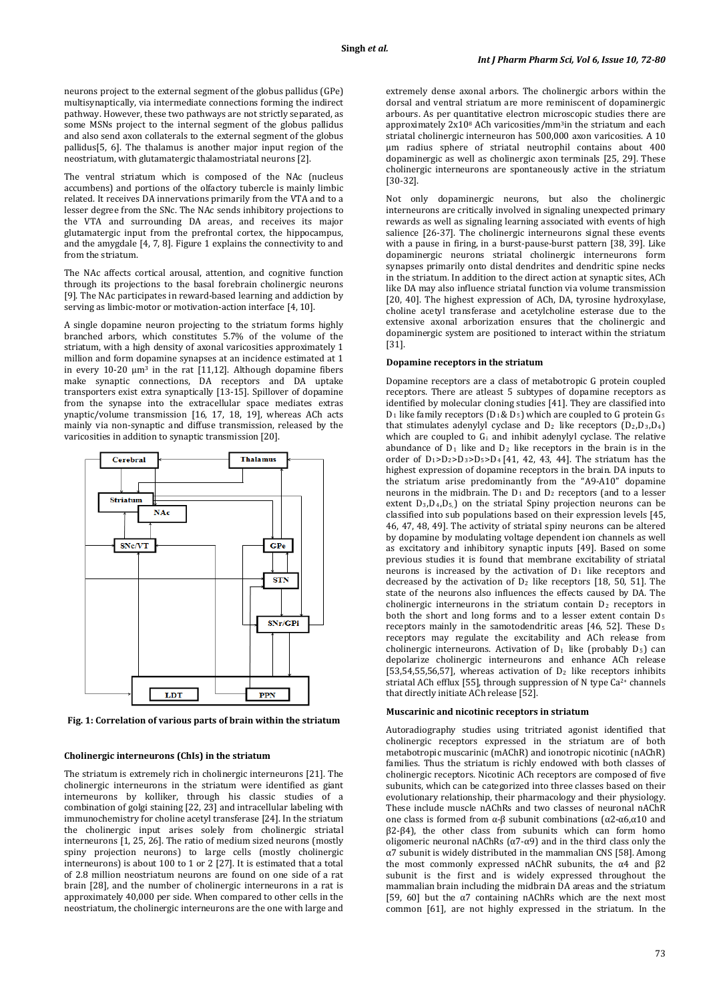neurons project to the external segment of the globus pallidus (GPe) multisynaptically, via intermediate connections forming the indirect pathway. However, these two pathways are not strictly separated, as some MSNs project to the internal segment of the globus pallidus and also send axon collaterals to the external segment of the globus pallidus[5, 6]. The thalamus is another major input region of the neostriatum, with glutamatergic thalamostriatal neurons [2].

The ventral striatum which is composed of the NAc (nucleus accumbens) and portions of the olfactory tubercle is mainly limbic related. It receives DA innervations primarily from the VTA and to a lesser degree from the SNc. The NAc sends inhibitory projections to the VTA and surrounding DA areas, and receives its major glutamatergic input from the prefrontal cortex, the hippocampus, and the amygdale [4, 7, 8]. Figure 1 explains the connectivity to and from the striatum.

The NAc affects cortical arousal, attention, and cognitive function through its projections to the basal forebrain cholinergic neurons [9]. The NAc participates in reward-based learning and addiction by serving as limbic-motor or motivation-action interface [4, 10].

A single dopamine neuron projecting to the striatum forms highly branched arbors, which constitutes 5.7% of the volume of the striatum, with a high density of axonal varicosities approximately 1 million and form dopamine synapses at an incidence estimated at 1 in every 10-20  $\mu$ m<sup>3</sup> in the rat [11,12]. Although dopamine fibers make synaptic connections, DA receptors and DA uptake transporters exist extra synaptically [13-15]. Spillover of dopamine from the synapse into the extracellular space mediates extras ynaptic/volume transmission [16, 17, 18, 19], whereas ACh acts mainly via non-synaptic and diffuse transmission, released by the varicosities in addition to synaptic transmission [20].



**Fig. 1: Correlation of various parts of brain within the striatum**

#### **Cholinergic interneurons (ChIs) in the striatum**

The striatum is extremely rich in cholinergic interneurons [21]. The cholinergic interneurons in the striatum were identified as giant interneurons by kolliker, through his classic studies of a combination of golgi staining [22, 23] and intracellular labeling with immunochemistry for choline acetyl transferase [24]. In the striatum the cholinergic input arises solely from cholinergic striatal interneurons [1, 25, 26]. The ratio of medium sized neurons (mostly spiny projection neurons) to large cells (mostly cholinergic interneurons) is about 100 to 1 or 2 [27]. It is estimated that a total of 2.8 million neostriatum neurons are found on one side of a rat brain [28], and the number of cholinergic interneurons in a rat is approximately 40,000 per side. When compared to other cells in the neostriatum, the cholinergic interneurons are the one with large and

extremely dense axonal arbors. The cholinergic arbors within the dorsal and ventral striatum are more reminiscent of dopaminergic arbours. As per quantitative electron microscopic studies there are approximately 2x108 ACh varicosities/mm3 in the striatum and each striatal cholinergic interneuron has 500,000 axon varicosities. A 10 µm radius sphere of striatal neutrophil contains about 400 dopaminergic as well as cholinergic axon terminals [25, 29]. These cholinergic interneurons are spontaneously active in the striatum [30-32].

Not only dopaminergic neurons, but also the cholinergic interneurons are critically involved in signaling unexpected primary rewards as well as signaling learning associated with events of high salience [26-37]. The cholinergic interneurons signal these events with a pause in firing, in a burst-pause-burst pattern [38, 39]. Like dopaminergic neurons striatal cholinergic interneurons form synapses primarily onto distal dendrites and dendritic spine necks in the striatum. In addition to the direct action at synaptic sites, ACh like DA may also influence striatal function via volume transmission [20, 40]. The highest expression of ACh, DA, tyrosine hydroxylase, choline acetyl transferase and acetylcholine esterase due to the extensive axonal arborization ensures that the cholinergic and dopaminergic system are positioned to interact within the striatum [31].

#### **Dopamine receptors in the striatum**

Dopamine receptors are a class of metabotropic G protein coupled receptors. There are atleast 5 subtypes of dopamine receptors as identified by molecular cloning studies [41]. They are classified into  $D_1$  like family receptors ( $D_1 \& D_5$ ) which are coupled to G protein G<sub>S</sub> that stimulates adenylyl cyclase and  $D_2$  like receptors  $(D_2,D_3,D_4)$ which are coupled to G<sub>i</sub> and inhibit adenylyl cyclase. The relative abundance of  $D_1$  like and  $D_2$  like receptors in the brain is in the order of  $D_1 > D_2 > D_3 > D_5 > D_4$  [41, 42, 43, 44]. The striatum has the highest expression of dopamine receptors in the brain. DA inputs to the striatum arise predominantly from the "A9-A10" dopamine neurons in the midbrain. The  $D_1$  and  $D_2$  receptors (and to a lesser extent  $D_3$ , $D_4$ , $D_5$ , on the striatal Spiny projection neurons can be classified into sub populations based on their expression levels [45, 46, 47, 48, 49]. The activity of striatal spiny neurons can be altered by dopamine by modulating voltage dependent ion channels as well as excitatory and inhibitory synaptic inputs [49]. Based on some previous studies it is found that membrane excitability of striatal neurons is increased by the activation of  $D_1$  like receptors and decreased by the activation of  $D_2$  like receptors [18, 50, 51]. The state of the neurons also influences the effects caused by DA. The cholinergic interneurons in the striatum contain  $D_2$  receptors in both the short and long forms and to a lesser extent contain  $D_5$ receptors mainly in the samotodendritic areas [46, 52]. These D5 receptors may regulate the excitability and ACh release from cholinergic interneurons. Activation of  $D_1$  like (probably  $D_5$ ) can depolarize cholinergic interneurons and enhance ACh release [53,54,55,56,57], whereas activation of  $D_2$  like receptors inhibits striatal ACh efflux [55], through suppression of N type Ca2+ channels that directly initiate ACh release [52].

#### **Muscarinic and nicotinic receptors in striatum**

Autoradiography studies using tritriated agonist identified that cholinergic receptors expressed in the striatum are of both metabotropic muscarinic (mAChR) and ionotropic nicotinic (nAChR) families. Thus the striatum is richly endowed with both classes of cholinergic receptors. Nicotinic ACh receptors are composed of five subunits, which can be categorized into three classes based on their evolutionary relationship, their pharmacology and their physiology. These include muscle nAChRs and two classes of neuronal nAChR one class is formed from α-β subunit combinations (α2-α6,α10 and β2-β4), the other class from subunits which can form homo oligomeric neuronal nAChRs (α7-α9) and in the third class only the α7 subunit is widely distributed in the mammalian CNS [58]. Among the most commonly expressed nAChR subunits, the α4 and β2 subunit is the first and is widely expressed throughout the mammalian brain including the midbrain DA areas and the striatum [59, 60] but the  $\alpha$ 7 containing nAChRs which are the next most common [61], are not highly expressed in the striatum. In the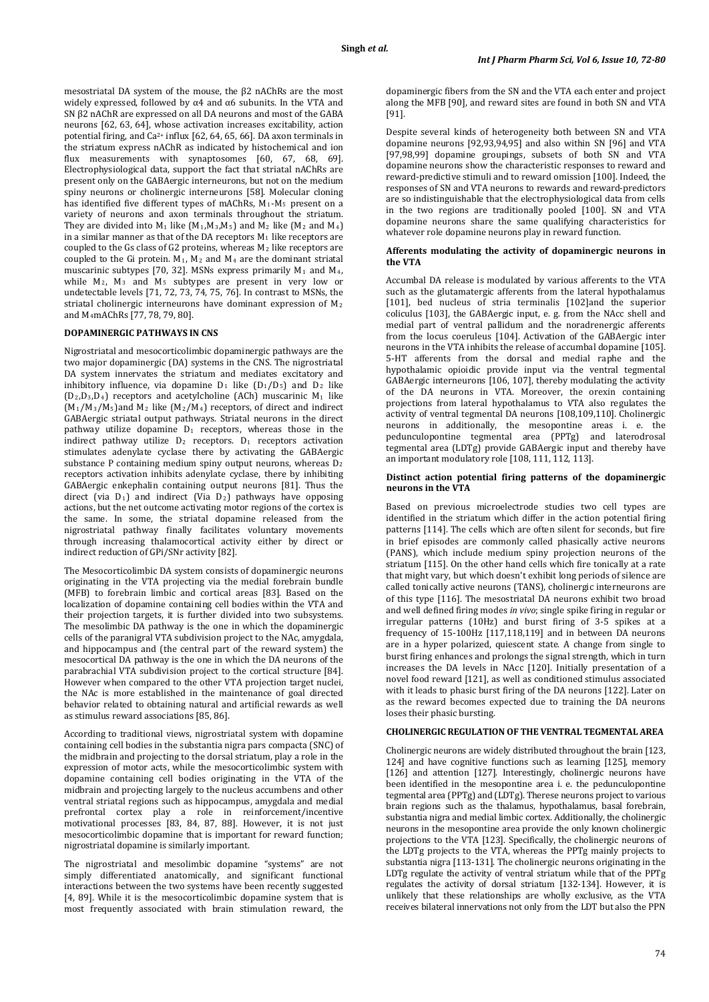mesostriatal DA system of the mouse, the β2 nAChRs are the most widely expressed, followed by  $\alpha$ 4 and  $\alpha$ 6 subunits. In the VTA and SN β2 nAChR are expressed on all DA neurons and most of the GABA neurons [62, 63, 64], whose activation increases excitability, action potential firing, and Ca2+ influx [62, 64, 65, 66]. DA axon terminals in the striatum express nAChR as indicated by histochemical and ion flux measurements with synaptosomes [60, 67, 68, 69]. Electrophysiological data, support the fact that striatal nAChRs are present only on the GABAergic interneurons, but not on the medium spiny neurons or cholinergic interneurons [58]. Molecular cloning has identified five different types of mAChRs,  $M_1-M_5$  present on a variety of neurons and axon terminals throughout the striatum. They are divided into  $M_1$  like  $(M_1,M_3,M_5)$  and  $M_2$  like  $(M_2 \text{ and } M_4)$ in a similar manner as that of the DA receptors  $M_1$  like receptors are coupled to the Gs class of G2 proteins, whereas  $M_2$  like receptors are coupled to the Gi protein.  $M_1$ ,  $M_2$  and  $M_4$  are the dominant striatal muscarinic subtypes [70, 32]. MSNs express primarily  $M_1$  and  $M_4$ , while  $M_2$ ,  $M_3$  and  $M_5$  subtypes are present in very low or undetectable levels [71, 72, 73, 74, 75, 76]. In contrast to MSNs, the striatal cholinergic interneurons have dominant expression of M2 and M4 mAChRs [77, 78, 79, 80].

# **DOPAMINERGIC PATHWAYS IN CNS**

Nigrostriatal and mesocorticolimbic dopaminergic pathways are the two major dopaminergic (DA) systems in the CNS. The nigrostriatal DA system innervates the striatum and mediates excitatory and inhibitory influence, via dopamine  $D_1$  like  $(D_1/D_5)$  and  $D_2$  like  $(D_2, D_3, D_4)$  receptors and acetylcholine (ACh) muscarinic M<sub>1</sub> like  $(M_1/M_3/M_5)$ and M<sub>2</sub> like  $(M_2/M_4)$  receptors, of direct and indirect GABAergic striatal output pathways. Striatal neurons in the direct pathway utilize dopamine  $D_1$  receptors, whereas those in the indirect pathway utilize  $D_2$  receptors.  $D_1$  receptors activation stimulates adenylate cyclase there by activating the GABAergic substance P containing medium spiny output neurons, whereas D<sub>2</sub> receptors activation inhibits adenylate cyclase, there by inhibiting GABAergic enkephalin containing output neurons [81]. Thus the direct (via D1) and indirect (Via D2 ) pathways have opposing actions, but the net outcome activating motor regions of the cortex is the same. In some, the striatal dopamine released from the nigrostriatal pathway finally facilitates voluntary movements through increasing thalamocortical activity either by direct or indirect reduction of GPi/SNr activity [82].

The Mesocorticolimbic DA system consists of dopaminergic neurons originating in the VTA projecting via the medial forebrain bundle (MFB) to forebrain limbic and cortical areas [83]. Based on the localization of dopamine containing cell bodies within the VTA and their projection targets, it is further divided into two subsystems. The mesolimbic DA pathway is the one in which the dopaminergic cells of the paranigral VTA subdivision project to the NAc, amygdala, and hippocampus and (the central part of the reward system) the mesocortical DA pathway is the one in which the DA neurons of the parabrachial VTA subdivision project to the cortical structure [84]. However when compared to the other VTA projection target nuclei, the NAc is more established in the maintenance of goal directed behavior related to obtaining natural and artificial rewards as well as stimulus reward associations [85, 86].

According to traditional views, nigrostriatal system with dopamine containing cell bodies in the substantia nigra pars compacta (SNC) of the midbrain and projecting to the dorsal striatum, play a role in the expression of motor acts, while the mesocorticolimbic system with dopamine containing cell bodies originating in the VTA of the midbrain and projecting largely to the nucleus accumbens and other ventral striatal regions such as hippocampus, amygdala and medial prefrontal cortex play a role in reinforcement/incentive motivational processes [83, 84, 87, 88]. However, it is not just mesocorticolimbic dopamine that is important for reward function; nigrostriatal dopamine is similarly important.

The nigrostriatal and mesolimbic dopamine "systems" are not simply differentiated anatomically, and significant functional interactions between the two systems have been recently suggested [4, 89]. While it is the mesocorticolimbic dopamine system that is most frequently associated with brain stimulation reward, the dopaminergic fibers from the SN and the VTA each enter and project along the MFB [90], and reward sites are found in both SN and VTA [91].

Despite several kinds of heterogeneity both between SN and VTA dopamine neurons [92,93,94,95] and also within SN [96] and VTA [97,98,99] dopamine groupings, subsets of both SN and VTA dopamine neurons show the characteristic responses to reward and reward-predictive stimuli and to reward omission [100]. Indeed, the responses of SN and VTA neurons to rewards and reward-predictors are so indistinguishable that the electrophysiological data from cells in the two regions are traditionally pooled [100]. SN and VTA dopamine neurons share the same qualifying characteristics for whatever role dopamine neurons play in reward function.

#### **Afferents modulating the activity of dopaminergic neurons in the VTA**

Accumbal DA release is modulated by various afferents to the VTA such as the glutamatergic afferents from the lateral hypothalamus [101], bed nucleus of stria terminalis [102]and the superior coliculus [103], the GABAergic input, e. g. from the NAcc shell and medial part of ventral pallidum and the noradrenergic afferents from the locus coeruleus [104]. Activation of the GABAergic inter neurons in the VTA inhibits the release of accumbal dopamine [105]. 5-HT afferents from the dorsal and medial raphe and the hypothalamic opioidic provide input via the ventral tegmental GABAergic interneurons [106, 107], thereby modulating the activity of the DA neurons in VTA. Moreover, the orexin containing projections from lateral hypothalamus to VTA also regulates the activity of ventral tegmental DA neurons [108,109,110]. Cholinergic neurons in additionally, the mesopontine areas i. e. the pedunculopontine tegmental area (PPTg) and laterodrosal tegmental area (LDTg) provide GABAergic input and thereby have an important modulatory role [108, 111, 112, 113].

#### **Distinct action potential firing patterns of the dopaminergic neurons in the VTA**

Based on previous microelectrode studies two cell types are identified in the striatum which differ in the action potential firing patterns [114]. The cells which are often silent for seconds, but fire in brief episodes are commonly called phasically active neurons (PANS), which include medium spiny projection neurons of the striatum [115]. On the other hand cells which fire tonically at a rate that might vary, but which doesn't exhibit long periods of silence are called tonically active neurons (TANS), cholinergic interneurons are of this type [116]. The mesostriatal DA neurons exhibit two broad and well defined firing modes *in vivo*; single spike firing in regular or irregular patterns (10Hz) and burst firing of 3-5 spikes at a frequency of 15-100Hz [117,118,119] and in between DA neurons are in a hyper polarized, quiescent state. A change from single to burst firing enhances and prolongs the signal strength, which in turn increases the DA levels in NAcc [120]. Initially presentation of a novel food reward [121], as well as conditioned stimulus associated with it leads to phasic burst firing of the DA neurons [122]. Later on as the reward becomes expected due to training the DA neurons loses their phasic bursting.

# **CHOLINERGIC REGULATION OF THE VENTRAL TEGMENTAL AREA**

Cholinergic neurons are widely distributed throughout the brain [123, 124] and have cognitive functions such as learning [125], memory [126] and attention [127]. Interestingly, cholinergic neurons have been identified in the mesopontine area i. e. the pedunculopontine tegmental area (PPTg) and (LDTg). Therese neurons project to various brain regions such as the thalamus, hypothalamus, basal forebrain, substantia nigra and medial limbic cortex. Additionally, the cholinergic neurons in the mesopontine area provide the only known cholinergic projections to the VTA [123]. Specifically, the cholinergic neurons of the LDTg projects to the VTA, whereas the PPTg mainly projects to substantia nigra [113-131]. The cholinergic neurons originating in the LDTg regulate the activity of ventral striatum while that of the PPTg regulates the activity of dorsal striatum [132-134]. However, it is unlikely that these relationships are wholly exclusive, as the VTA receives bilateral innervations not only from the LDT but also the PPN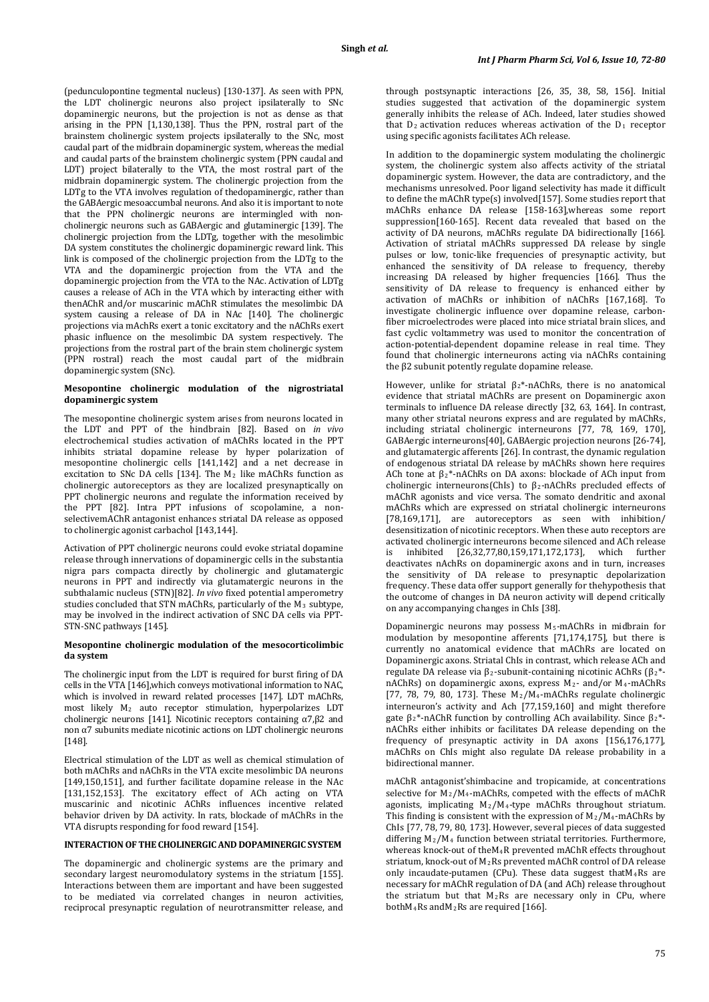(pedunculopontine tegmental nucleus) [130-137]. As seen with PPN, the LDT cholinergic neurons also project ipsilaterally to SNc dopaminergic neurons, but the projection is not as dense as that arising in the PPN [1,130,138]. Thus the PPN, rostral part of the brainstem cholinergic system projects ipsilaterally to the SNc, most caudal part of the midbrain dopaminergic system, whereas the medial and caudal parts of the brainstem cholinergic system (PPN caudal and LDT) project bilaterally to the VTA, the most rostral part of the midbrain dopaminergic system. The cholinergic projection from the LDTg to the VTA involves regulation of thedopaminergic, rather than the GABAergic mesoaccumbal neurons. And also it is important to note that the PPN cholinergic neurons are intermingled with noncholinergic neurons such as GABAergic and glutaminergic [139]. The cholinergic projection from the LDTg, together with the mesolimbic DA system constitutes the cholinergic dopaminergic reward link. This link is composed of the cholinergic projection from the LDTg to the VTA and the dopaminergic projection from the VTA and the dopaminergic projection from the VTA to the NAc. Activation of LDTg causes a release of ACh in the VTA which by interacting either with thenAChR and/or muscarinic mAChR stimulates the mesolimbic DA system causing a release of DA in NAc [140]. The cholinergic projections via mAchRs exert a tonic excitatory and the nAChRs exert phasic influence on the mesolimbic DA system respectively. The projections from the rostral part of the brain stem cholinergic system (PPN rostral) reach the most caudal part of the midbrain dopaminergic system (SNc).

#### **Mesopontine cholinergic modulation of the nigrostriatal dopaminergic system**

The mesopontine cholinergic system arises from neurons located in the LDT and PPT of the hindbrain [82]. Based on *in vivo* electrochemical studies activation of mAChRs located in the PPT inhibits striatal dopamine release by hyper polarization of mesopontine cholinergic cells [141,142] and a net decrease in excitation to SNc DA cells [134]. The M2 like mAChRs function as cholinergic autoreceptors as they are localized presynaptically on PPT cholinergic neurons and regulate the information received by the PPT [82]. Intra PPT infusions of scopolamine, a nonselectivemAChR antagonist enhances striatal DA release as opposed to cholinergic agonist carbachol [143,144].

Activation of PPT cholinergic neurons could evoke striatal dopamine release through innervations of dopaminergic cells in the substantia nigra pars compacta directly by cholinergic and glutamatergic neurons in PPT and indirectly via glutamatergic neurons in the subthalamic nucleus (STN)[82]. *In vivo* fixed potential amperometry studies concluded that STN mAChRs, particularly of the M 3 subtype, may be involved in the indirect activation of SNC DA cells via PPT-STN-SNC pathways [145].

## **Mesopontine cholinergic modulation of the mesocorticolimbic da system**

The cholinergic input from the LDT is required for burst firing of DA cells in the VTA [146],which conveys motivational information to NAC, which is involved in reward related processes [147]. LDT mAChRs, most likely M2 auto receptor stimulation, hyperpolarizes LDT cholinergic neurons [141]. Nicotinic receptors containing  $α7,β2$  and non α7 subunits mediate nicotinic actions on LDT cholinergic neurons [148].

Electrical stimulation of the LDT as well as chemical stimulation of both mAChRs and nAChRs in the VTA excite mesolimbic DA neurons [149,150,151], and further facilitate dopamine release in the NAc [131,152,153]. The excitatory effect of ACh acting on VTA muscarinic and nicotinic AChRs influences incentive related behavior driven by DA activity. In rats, blockade of mAChRs in the VTA disrupts responding for food reward [154].

# **INTERACTION OF THE CHOLINERGIC AND DOPAMINERGIC SYSTEM**

The dopaminergic and cholinergic systems are the primary and secondary largest neuromodulatory systems in the striatum [155]. Interactions between them are important and have been suggested to be mediated via correlated changes in neuron activities, reciprocal presynaptic regulation of neurotransmitter release, and

through postsynaptic interactions [26, 35, 38, 58, 156]. Initial studies suggested that activation of the dopaminergic system generally inhibits the release of ACh. Indeed, later studies showed that  $D_2$  activation reduces whereas activation of the  $D_1$  receptor using specific agonists facilitates ACh release.

In addition to the dopaminergic system modulating the cholinergic system, the cholinergic system also affects activity of the striatal dopaminergic system. However, the data are contradictory, and the mechanisms unresolved. Poor ligand selectivity has made it difficult to define the mAChR type(s) involved[157]. Some studies report that mAChRs enhance DA release [158-163],whereas some report suppression[160-165]. Recent data revealed that based on the activity of DA neurons, mAChRs regulate DA bidirectionally [166]. Activation of striatal mAChRs suppressed DA release by single pulses or low, tonic-like frequencies of presynaptic activity, but enhanced the sensitivity of DA release to frequency, thereby increasing DA released by higher frequencies [166]. Thus the sensitivity of DA release to frequency is enhanced either by activation of mAChRs or inhibition of nAChRs [167,168]. To investigate cholinergic influence over dopamine release, carbonfiber microelectrodes were placed into mice striatal brain slices, and fast cyclic voltammetry was used to monitor the concentration of action-potential-dependent dopamine release in real time. They found that cholinergic interneurons acting via nAChRs containing the β2 subunit potently regulate dopamine release.

However, unlike for striatal  $\beta_2^*$ -nAChRs, there is no anatomical evidence that striatal mAChRs are present on Dopaminergic axon terminals to influence DA release directly [32, 63, 164]. In contrast, many other striatal neurons express and are regulated by mAChRs, including striatal cholinergic interneurons [77, 78, 169, 170], GABAergic interneurons[40], GABAergic projection neurons [26-74], and glutamatergic afferents [26]. In contrast, the dynamic regulation of endogenous striatal DA release by mAChRs shown here requires ACh tone at  $\beta_2^*$ -nAChRs on DA axons: blockade of ACh input from cholinergic interneurons(ChIs) to β<sup>2</sup> -nAChRs precluded effects of mAChR agonists and vice versa. The somato dendritic and axonal mAChRs which are expressed on striatal cholinergic interneurons [78,169,171], are autoreceptors as seen with inhibition/ desensitization of nicotinic receptors. When these auto receptors are activated cholinergic interneurons become silenced and ACh release<br>is inhibited 126.32.77.80.159.171.172.1731, which further [26,32,77,80,159,171,172,173], which further deactivates nAchRs on dopaminergic axons and in turn, increases the sensitivity of DA release to presynaptic depolarization frequency. These data offer support generally for thehypothesis that the outcome of changes in DA neuron activity will depend critically on any accompanying changes in ChIs [38].

Dopaminergic neurons may possess M 5-mAChRs in midbrain for modulation by mesopontine afferents [71,174,175], but there is currently no anatomical evidence that mAChRs are located on Dopaminergic axons. Striatal ChIs in contrast, which release ACh and regulate DA release via β<sub>2</sub>-subunit-containing nicotinic AChRs (β<sub>2</sub><sup>\*</sup>nAChRs) on dopaminergic axons, express M2- and/or M4-mAChRs [77, 78, 79, 80, 173]. These  $M_2/M_4$ -mAChRs regulate cholinergic interneuron's activity and Ach [77,159,160] and might therefore gate β2\*-nAChR function by controlling ACh availability. Since β<sup>2</sup> \* nAChRs either inhibits or facilitates DA release depending on the frequency of presynaptic activity in DA axons [156,176,177], mAChRs on ChIs might also regulate DA release probability in a bidirectional manner.

mAChR antagonist'shimbacine and tropicamide, at concentrations selective for M 2/M4-mAChRs, competed with the effects of mAChR agonists, implicating  $M_2/M_4$ -type mAChRs throughout striatum. This finding is consistent with the expression of  $M_2/M_4$ -mAChRs by ChIs [77, 78, 79, 80, 173]. However, several pieces of data suggested differing M2/M4 function between striatal territories. Furthermore, whereas knock-out of theM4R prevented mAChR effects throughout striatum, knock-out of M2Rs prevented mAChR control of DA release only incaudate-putamen (CPu). These data suggest thatM4Rs are necessary for mAChR regulation of DA (and ACh) release throughout the striatum but that  $M_2$ Rs are necessary only in CPu, where bothM4Rs andM2Rs are required [166].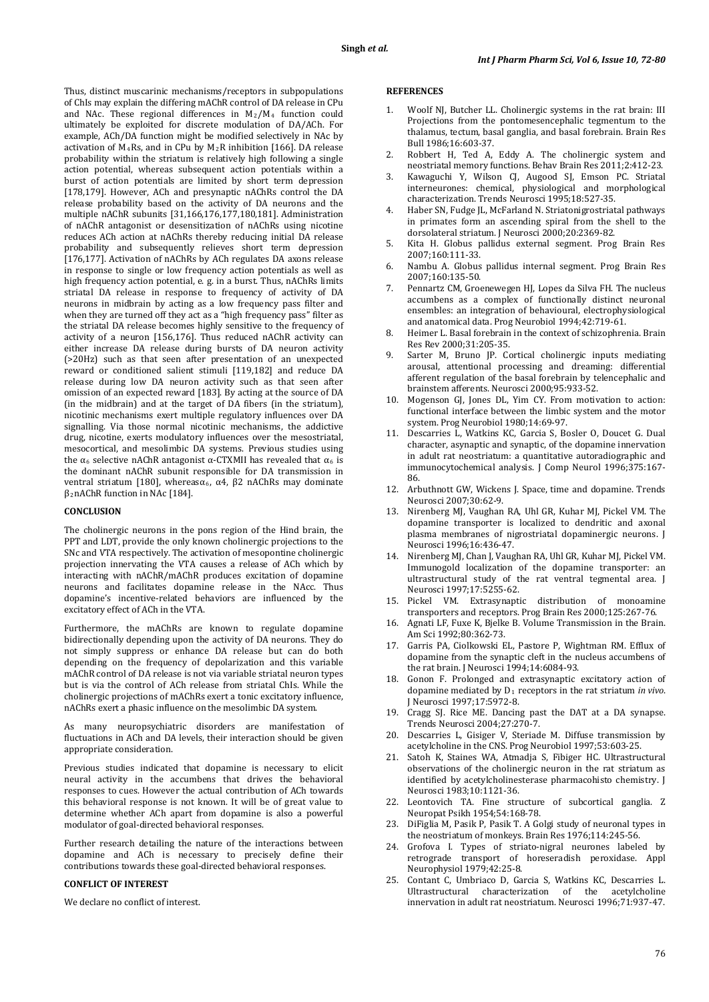Thus, distinct muscarinic mechanisms/receptors in subpopulations of ChIs may explain the differing mAChR control of DA release in CPu and NAc. These regional differences in  $M_2/M_4$  function could ultimately be exploited for discrete modulation of DA/ACh. For example, ACh/DA function might be modified selectively in NAc by activation of  $M_4$ Rs, and in CPu by  $M_2$ R inhibition [166]. DA release probability within the striatum is relatively high following a single action potential, whereas subsequent action potentials within a burst of action potentials are limited by short term depression [178,179]. However, ACh and presynaptic nAChRs control the DA release probability based on the activity of DA neurons and the multiple nAChR subunits [31,166,176,177,180,181]. Administration of nAChR antagonist or desensitization of nAChRs using nicotine reduces ACh action at nAChRs thereby reducing initial DA release probability and subsequently relieves short term depression [176,177]. Activation of nAChRs by ACh regulates DA axons release in response to single or low frequency action potentials as well as high frequency action potential, e. g. in a burst. Thus, nAChRs limits striatal DA release in response to frequency of activity of DA neurons in midbrain by acting as a low frequency pass filter and when they are turned off they act as a "high frequency pass" filter as the striatal DA release becomes highly sensitive to the frequency of activity of a neuron [156,176]. Thus reduced nAChR activity can either increase DA release during bursts of DA neuron activity (>20Hz) such as that seen after presentation of an unexpected reward or conditioned salient stimuli [119,182] and reduce DA release during low DA neuron activity such as that seen after omission of an expected reward [183]. By acting at the source of DA (in the midbrain) and at the target of DA fibers (in the striatum), nicotinic mechanisms exert multiple regulatory influences over DA signalling. Via those normal nicotinic mechanisms, the addictive drug, nicotine, exerts modulatory influences over the mesostriatal, mesocortical, and mesolimbic DA systems. Previous studies using the  $\alpha_6$  selective nAChR antagonist α-CTXMII has revealed that  $\alpha_6$  is the dominant nAChR subunit responsible for DA transmission in ventral striatum [180], whereasα<sub>6</sub>, α4, β2 nAChRs may dominate β2 nAChR function in NAc [184].

#### **CONCLUSION**

The cholinergic neurons in the pons region of the Hind brain, the PPT and LDT, provide the only known cholinergic projections to the SNc and VTA respectively. The activation of mesopontine cholinergic projection innervating the VTA causes a release of ACh which by interacting with nAChR/mAChR produces excitation of dopamine neurons and facilitates dopamine release in the NAcc. Thus dopamine's incentive-related behaviors are influenced by the excitatory effect of ACh in the VTA.

Furthermore, the mAChRs are known to regulate dopamine bidirectionally depending upon the activity of DA neurons. They do not simply suppress or enhance DA release but can do both depending on the frequency of depolarization and this variable mAChR control of DA release is not via variable striatal neuron types but is via the control of ACh release from striatal ChIs. While the cholinergic projections of mAChRs exert a tonic excitatory influence, nAChRs exert a phasic influence on the mesolimbic DA system.

As many neuropsychiatric disorders are manifestation of fluctuations in ACh and DA levels, their interaction should be given appropriate consideration.

Previous studies indicated that dopamine is necessary to elicit neural activity in the accumbens that drives the behavioral responses to cues. However the actual contribution of ACh towards this behavioral response is not known. It will be of great value to determine whether ACh apart from dopamine is also a powerful modulator of goal-directed behavioral responses.

Further research detailing the nature of the interactions between dopamine and ACh is necessary to precisely define their contributions towards these goal-directed behavioral responses.

## **CONFLICT OF INTEREST**

We declare no conflict of interest.

#### **REFERENCES**

- 1. Woolf NJ, Butcher LL. Cholinergic systems in the rat brain: III Projections from the pontomesencephalic tegmentum to the thalamus, tectum, basal ganglia, and basal forebrain. Brain Res Bull 1986;16:603-37.
- 2. Robbert H, Ted A, Eddy A. The cholinergic system and neostriatal memory functions. Behav Brain Res 2011;2:412-23.
- 3. Kawaguchi Y, Wilson CJ, Augood SJ, Emson PC. Striatal interneurones: chemical, physiological and morphological characterization. Trends Neurosci 1995;18:527-35.
- 4. Haber SN, Fudge JL, McFarland N. Striatonigrostriatal pathways in primates form an ascending spiral from the shell to the dorsolateral striatum. J Neurosci 2000;20:2369-82.
- 5. Kita H. Globus pallidus external segment. Prog Brain Res 2007;160:111-33.
- 6. Nambu A. Globus pallidus internal segment. Prog Brain Res 2007;160:135-50.
- 7. Pennartz CM, Groenewegen HJ, Lopes da Silva FH. The nucleus accumbens as a complex of functionally distinct neuronal ensembles: an integration of behavioural, electrophysiological and anatomical data. Prog Neurobiol 1994;42:719-61.
- 8. Heimer L. Basal forebrain in the context of schizophrenia. Brain Res Rev 2000;31:205-35.
- 9. Sarter M, Bruno JP. Cortical cholinergic inputs mediating arousal, attentional processing and dreaming: differential afferent regulation of the basal forebrain by telencephalic and brainstem afferents. Neurosci 2000;95:933-52.
- 10. Mogenson GJ, Jones DL, Yim CY. From motivation to action: functional interface between the limbic system and the motor system. Prog Neurobiol 1980;14:69-97.
- 11. Descarries L, Watkins KC, Garcia S, Bosler O, Doucet G. Dual character, asynaptic and synaptic, of the dopamine innervation in adult rat neostriatum: a quantitative autoradiographic and immunocytochemical analysis. J Comp Neurol 1996;375:167- 86.
- 12. Arbuthnott GW, Wickens J. Space, time and dopamine. Trends Neurosci 2007;30:62-9.
- 13. Nirenberg MJ, Vaughan RA, Uhl GR, Kuhar MJ, Pickel VM. The dopamine transporter is localized to dendritic and axonal plasma membranes of nigrostriatal dopaminergic neurons. J Neurosci 1996;16:436-47.
- 14. Nirenberg MJ, Chan J, Vaughan RA, Uhl GR, Kuhar MJ, Pickel VM. Immunogold localization of the dopamine transporter: an ultrastructural study of the rat ventral tegmental area. J Neurosci 1997;17:5255-62.
- 15. Pickel VM. Extrasynaptic distribution of monoamine transporters and receptors. Prog Brain Res 2000;125:267-76.
- 16. Agnati LF, Fuxe K, Bjelke B. Volume Transmission in the Brain. Am Sci 1992;80:362-73.
- 17. Garris PA, Ciolkowski EL, Pastore P, Wightman RM. Efflux of dopamine from the synaptic cleft in the nucleus accumbens of the rat brain. J Neurosci 1994;14:6084-93.
- 18. Gonon F. Prolonged and extrasynaptic excitatory action of dopamine mediated by D1 receptors in the rat striatum *in vivo*. J Neurosci 1997;17:5972-8.
- 19. Cragg SJ. Rice ME. Dancing past the DAT at a DA synapse. Trends Neurosci 2004;27:270-7.
- 20. Descarries L, Gisiger V, Steriade M. Diffuse transmission by acetylcholine in the CNS. Prog Neurobiol 1997;53:603-25.
- 21. Satoh K, Staines WA, Atmadja S, Fibiger HC. Ultrastructural observations of the cholinergic neuron in the rat striatum as identified by acetylcholinesterase pharmacohisto chemistry. J Neurosci 1983;10:1121-36.
- 22. Leontovich TA. Fine structure of subcortical ganglia. Z Neuropat Psikh 1954;54:168-78.
- DiFiglia M, Pasik P, Pasik T. A Golgi study of neuronal types in the neostriatum of monkeys. Brain Res 1976;114:245-56.
- 24. Grofova I. Types of striato-nigral neurones labeled by retrograde transport of horeseradish peroxidase. Appl Neurophysiol 1979;42:25-8.
- 25. Contant C, Umbriaco D, Garcia S, Watkins KC, Descarries L. Ultrastructural characterization of the acetylcholine innervation in adult rat neostriatum. Neurosci 1996;71:937-47.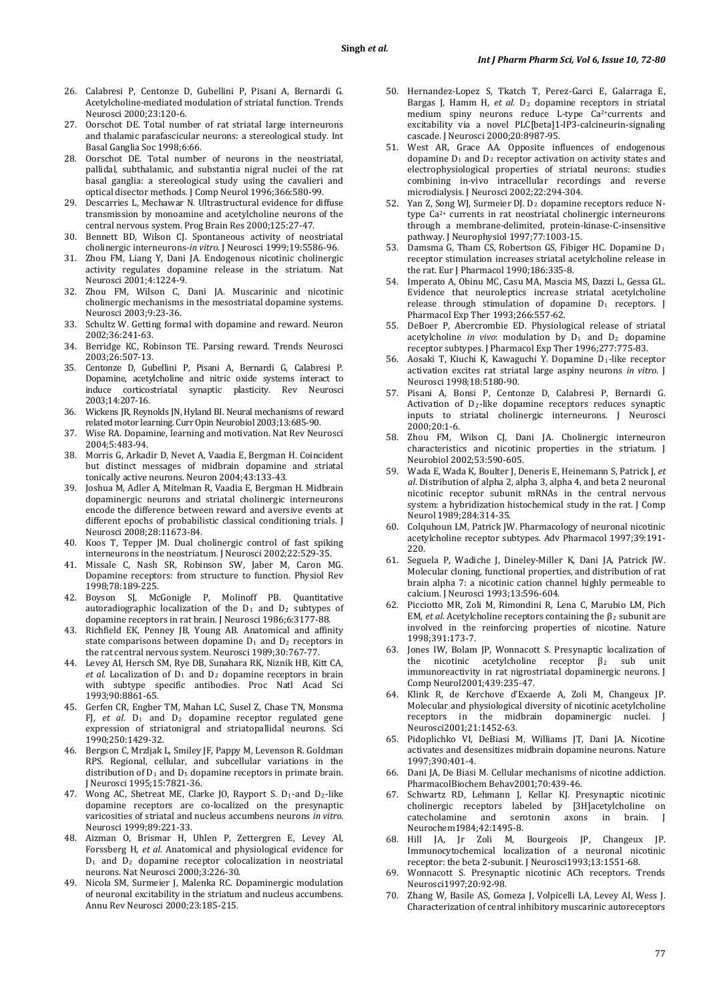- 26. Calabresi P, Centonze D, Gubellini P, Pisani A, Bernardi G. Acetylcholine-mediated modulation of striatal function. Trends Neurosci 2000;23:120-6.
- 27. Oorschot DE. Total number of rat striatal large interneurons and thalamic parafascicular neurons: a stereological study. Int Basal Ganglia Soc 1998;6:66.
- 28. Oorschot DE. Total number of neurons in the neostriatal, pallidal, subthalamic, and substantia nigral nuclei of the rat basal ganglia: a stereological study using the cavalieri and optical disector methods. J Comp Neurol 1996;366:580-99.
- 29. Descarries L, Mechawar N. Ultrastructural evidence for diffuse transmission by monoamine and acetylcholine neurons of the central nervous system. Prog Brain Res 2000;125:27-47.
- 30. Bennett BD, Wilson CJ. Spontaneous activity of neostriatal cholinergic interneurons-*in vitro*. J Neurosci 1999;19:5586-96.
- 31. Zhou FM, Liang Y, Dani JA. Endogenous nicotinic cholinergic activity regulates dopamine release in the striatum. Nat Neurosci 2001;4:1224-9.
- 32. Zhou FM, Wilson C, Dani JA. Muscarinic and nicotinic cholinergic mechanisms in the mesostriatal dopamine systems. Neurosci 2003;9:23-36.
- 33. Schultz W. Getting formal with dopamine and reward. Neuron 2002;36:241-63.
- 34. Berridge KC, Robinson TE. Parsing reward. Trends Neurosci 2003;26:507-13.
- 35. Centonze D, Gubellini P, Pisani A, Bernardi G, Calabresi P. Dopamine, acetylcholine and nitric oxide systems interact to induce corticostriatal synaptic plasticity. Rev Neurosci 2003;14:207-16.
- 36. Wickens JR, Reynolds JN, Hyland BI. Neural mechanisms of reward related motor learning. Curr Opin Neurobiol 2003;13:685-90.
- 37. Wise RA. Dopamine, learning and motivation. Nat Rev Neurosci 2004;5:483-94.
- 38. Morris G, Arkadir D, Nevet A, Vaadia E, Bergman H. Coincident but distinct messages of midbrain dopamine and striatal tonically active neurons. Neuron 2004;43:133-43.
- 39. Joshua M, Adler A, Mitelman R, Vaadia E, Bergman H. Midbrain dopaminergic neurons and striatal cholinergic interneurons encode the difference between reward and aversive events at different epochs of probabilistic classical conditioning trials. J Neurosci 2008;28:11673-84.
- 40. Koos T, Tepper JM. Dual cholinergic control of fast spiking interneurons in the neostriatum. J Neurosci 2002;22:529-35.
- 41. Missale C, Nash SR, Robinson SW, Jaber M, Caron MG. Dopamine receptors: from structure to function. Physiol Rev 1998;78:189-225.
- 42. Boyson SJ, McGonigle P, Molinoff PB. Quantitative autoradiographic localization of the  $D_1$  and  $D_2$  subtypes of dopamine receptors in rat brain. J Neurosci 1986;6:3177-88.
- 43. Richfield EK, Penney JB, Young AB. Anatomical and affinity state comparisons between dopamine D <sup>1</sup> and D2 receptors in the rat central nervous system. Neurosci 1989;30:767-77.
- 44. Levey AI, Hersch SM, Rye DB, Sunahara RK, Niznik HB, Kitt CA, *et al*. Localization of D <sup>1</sup> and D2 dopamine receptors in brain with subtype specific antibodies. Proc Natl Acad Sci 1993;90:8861-65.
- 45. Gerfen CR, Engber TM, Mahan LC, Susel Z, Chase TN, Monsma FJ, *et al*. D <sup>1</sup> and D2 dopamine receptor regulated gene expression of striatonigral and striatopallidal neurons. Sci 1990;250:1429-32.
- 46. Bergson C, Mrzljak L, Smiley JF, Pappy M, Levenson R. Goldman RPS. Regional, cellular, and subcellular variations in the distribution of D <sup>1</sup> and D5 dopamine receptors in primate brain. J Neurosci 1995;15:7821-36.
- 47. Wong AC, Shetreat ME, Clarke JO, Rayport S. D 1-and D2 -like dopamine receptors are co-localized on the presynaptic varicosities of striatal and nucleus accumbens neurons *in vitro*. Neurosci 1999;89:221-33.
- 48. Aizman O, Brismar H, Uhlen P, Zettergren E, Levey AI, Forssberg H, *et al*. Anatomical and physiological evidence for D <sup>1</sup> and D2 dopamine receptor colocalization in neostriatal neurons. Nat Neurosci 2000;3:226-30.
- 49. Nicola SM, Surmeier J, Malenka RC. Dopaminergic modulation of neuronal excitability in the striatum and nucleus accumbens. Annu Rev Neurosci 2000;23:185-215.
- 50. Hernandez-Lopez S, Tkatch T, Perez-Garci E, Galarraga E, Bargas J, Hamm H, et al. D<sub>2</sub> dopamine receptors in striatal medium spiny neurons reduce L-type Ca2+ currents and excitability via a novel PLC[beta]1-IP3-calcineurin-signaling cascade. J Neurosci 2000;20:8987-95.
- 51. West AR, Grace AA. Opposite influences of endogenous dopamine  $D_1$  and  $D_2$  receptor activation on activity states and electrophysiological properties of striatal neurons: studies combining in-vivo intracellular recordings and reverse microdialysis. J Neurosci 2002;22:294-304.
- 52. Yan Z, Song WJ, Surmeier DJ. D <sup>2</sup> dopamine receptors reduce Ntype Ca2+ currents in rat neostriatal cholinergic interneurons through a membrane-delimited, protein-kinase-C-insensitive pathway. J Neurophysiol 1997;77:1003-15.
- 53. Damsma G, Tham CS, Robertson GS, Fibiger HC. Dopamine D<sub>1</sub> receptor stimulation increases striatal acetylcholine release in the rat. Eur J Pharmacol 1990;186:335-8.
- 54. Imperato A, Obinu MC, Casu MA, Mascia MS, Dazzi L, Gessa GL. Evidence that neuroleptics increase striatal acetylcholine release through stimulation of dopamine D 1 receptors. J Pharmacol Exp Ther 1993;266:557-62.
- 55. DeBoer P, Abercrombie ED. Physiological release of striatal acetylcholine *in vivo*: modulation by  $D_1$  and  $D_2$  dopamine receptor subtypes. J Pharmacol Exp Ther 1996;277:775-83.
- 56. Aosaki T, Kiuchi K, Kawaguchi Y. Dopamine D 1 -like receptor activation excites rat striatal large aspiny neurons *in vitro*. J Neurosci 1998;18:5180-90.
- 57. Pisani A, Bonsi P, Centonze D, Calabresi P, Bernardi G. Activation of D 2 -like dopamine receptors reduces synaptic inputs to striatal cholinergic interneurons. J Neurosci 2000;20:1-6.
- 58. Zhou FM, Wilson CJ, Dani JA. Cholinergic interneuron characteristics and nicotinic properties in the striatum. J Neurobiol 2002;53:590-605.
- 59. Wada E, Wada K, Boulter J, Deneris E, Heinemann S, Patrick J, *et al*. Distribution of alpha 2, alpha 3, alpha 4, and beta 2 neuronal nicotinic receptor subunit mRNAs in the central nervous system: a hybridization histochemical study in the rat. J Comp Neurol 1989;284:314-35.
- 60. Colquhoun LM, Patrick JW. Pharmacology of neuronal nicotinic acetylcholine receptor subtypes. Adv Pharmacol 1997;39:191- 220.
- 61. Seguela P, Wadiche J, Dineley-Miller K, Dani JA, Patrick JW. Molecular cloning, functional properties, and distribution of rat brain alpha 7: a nicotinic cation channel highly permeable to calcium. J Neurosci 1993;13:596-604.
- 62. Picciotto MR, Zoli M, Rimondini R, Lena C, Marubio LM, Pich EM, *et al*. Acetylcholine receptors containing the β<sup>2</sup> subunit are involved in the reinforcing properties of nicotine. Nature 1998;391:173-7.
- 63. Jones IW, Bolam JP, Wonnacott S. Presynaptic localization of the nicotinic acetylcholine receptor  $\beta_2$  sub unit the nicotinic acetylcholine receptor β 2 the nicotinic acetylcholine receptor  $\beta_2$  sub unit<br>immunoreactivity in rat nigrostriatal dopaminergic neurons. J Comp Neurol2001;439:235-47.
- 64. Klink R, de Kerchove d'Exaerde A, Zoli M, Changeux JP. Molecular and physiological diversity of nicotinic acetylcholine<br>receptors in the midbrain dopaminergic nuclei. receptors in the midbrain dopaminergic nuclei. Neurosci2001;21:1452-63.
- 65. Pidoplichko VI, DeBiasi M, Williams JT, Dani JA. Nicotine activates and desensitizes midbrain dopamine neurons. Nature 1997;390:401-4.
- 66. Dani JA, De Biasi M. Cellular mechanisms of nicotine addiction. PharmacolBiochem Behav2001;70:439-46.
- 67. Schwartz RD, Lehmann J, Kellar KJ. Presynaptic nicotinic cholinergic receptors labeled by [3H]acetylcholine on serotonin axons Neurochem1984;42:1495-8.
- 68. Hill JA, Jr Zoli M, Bourgeois JP, Changeux JP. Immunocytochemical localization of a neuronal nicotinic receptor: the beta 2-subunit. J Neurosci1993;13:1551-68.
- 69. Wonnacott S. Presynaptic nicotinic ACh receptors. Trends Neurosci1997;20:92-98.
- 70. Zhang W, Basile AS, Gomeza J, Volpicelli LA, Levey AI, Wess J. Characterization of central inhibitory muscarinic autoreceptors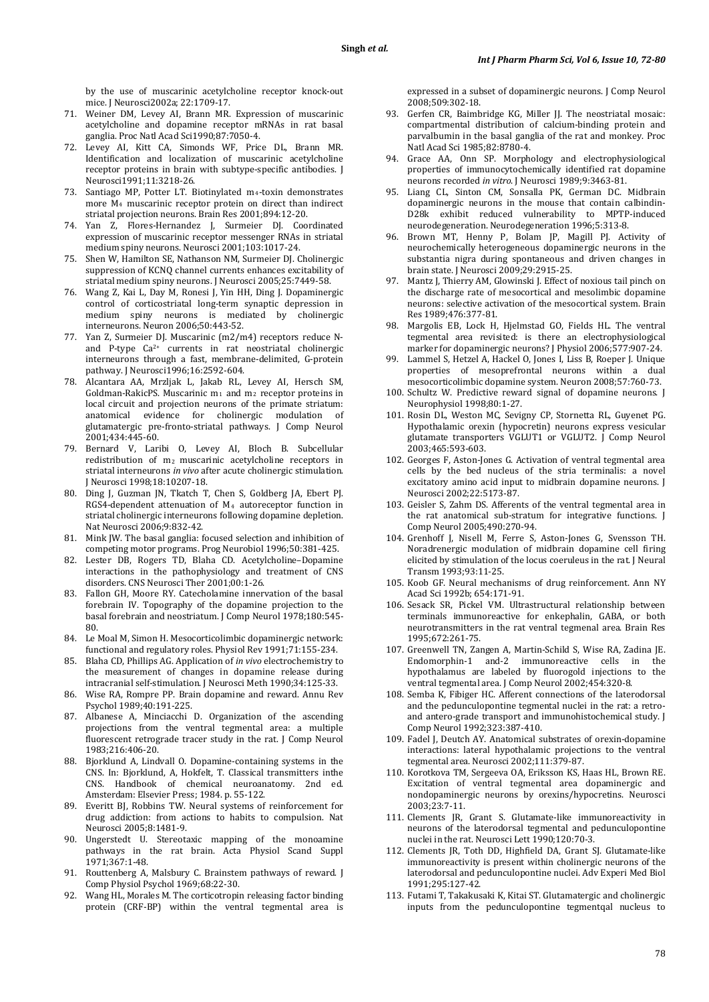by the use of muscarinic acetylcholine receptor knock-out mice. J Neurosci2002a; 22:1709-17.

- 71. Weiner DM, Levey AI, Brann MR. Expression of muscarinic acetylcholine and dopamine receptor mRNAs in rat basal ganglia. Proc Natl Acad Sci1990;87:7050-4.
- 72. Levey AI, Kitt CA, Simonds WF, Price DL, Brann MR. Identification and localization of muscarinic acetylcholine receptor proteins in brain with subtype-specific antibodies. J Neurosci1991;11:3218-26.
- 73. Santiago MP, Potter LT. Biotinylated  $m_4$ -toxin demonstrates more M4 muscarinic receptor protein on direct than indirect striatal projection neurons. Brain Res 2001;894:12-20.
- 74. Yan Z, Flores-Hernandez J, Surmeier DJ. Coordinated expression of muscarinic receptor messenger RNAs in striatal medium spiny neurons. Neurosci 2001;103:1017-24.
- 75. Shen W, Hamilton SE, Nathanson NM, Surmeier DJ. Cholinergic suppression of KCNQ channel currents enhances excitability of striatal medium spiny neurons. J Neurosci 2005;25:7449-58.
- 76. Wang Z, Kai L, Day M, Ronesi J, Yin HH, Ding J. Dopaminergic control of corticostriatal long-term synaptic depression in medium spiny neurons is mediated by cholinergic interneurons. Neuron 2006;50:443-52.
- 77. Yan Z, Surmeier DJ. Muscarinic (m2/m4) receptors reduce Nand P-type Ca2+ currents in rat neostriatal cholinergic interneurons through a fast, membrane-delimited, G-protein pathway. J Neurosci1996;16:2592-604.
- 78. Alcantara AA, Mrzljak L, Jakab RL, Levey AI, Hersch SM, Goldman-RakicPS. Muscarinic m <sup>1</sup> and m2 receptor proteins in local circuit and projection neurons of the primate striatum: anatomical evidence for cholinergic modulation of glutamatergic pre-fronto-striatal pathways. J Comp Neurol 2001;434:445-60.
- 79. Bernard V, Laribi O, Levey AI, Bloch B. Subcellular redistribution of m 2 muscarinic acetylcholine receptors in striatal interneurons *in vivo* after acute cholinergic stimulation. J Neurosci 1998;18:10207-18.
- 80. Ding J, Guzman JN, Tkatch T, Chen S, Goldberg JA, Ebert PJ. RGS4-dependent attenuation of M 4 autoreceptor function in striatal cholinergic interneurons following dopamine depletion. Nat Neurosci 2006;9:832-42.
- 81. Mink JW. The basal ganglia: focused selection and inhibition of competing motor programs. Prog Neurobiol 1996;50:381-425.
- 82. Lester DB, Rogers TD, Blaha CD. Acetylcholine–Dopamine interactions in the pathophysiology and treatment of CNS disorders. CNS Neurosci Ther 2001;00:1-26.
- 83. Fallon GH, Moore RY. Catecholamine innervation of the basal forebrain IV. Topography of the dopamine projection to the basal forebrain and neostriatum. J Comp Neurol 1978;180:545- 80.
- 84. Le Moal M, Simon H. Mesocorticolimbic dopaminergic network: functional and regulatory roles. Physiol Rev 1991;71:155-234.
- 85. Blaha CD, Phillips AG. Application of *in vivo* electrochemistry to the measurement of changes in dopamine release during intracranial self-stimulation. J Neurosci Meth 1990;34:125-33.
- 86. Wise RA, Rompre PP. Brain dopamine and reward. Annu Rev Psychol 1989;40:191-225.
- 87. Albanese A, Minciacchi D. Organization of the ascending projections from the ventral tegmental area: a multiple fluorescent retrograde tracer study in the rat. J Comp Neurol 1983;216:406-20.
- 88. Bjorklund A, Lindvall O. Dopamine-containing systems in the CNS. In: Bjorklund, A, Hokfelt, T. Classical transmitters inthe CNS. Handbook of chemical neuroanatomy*.* 2nd ed. Amsterdam: Elsevier Press; 1984. p. 55-122.
- 89. Everitt BJ, Robbins TW. Neural systems of reinforcement for drug addiction: from actions to habits to compulsion. Nat Neurosci 2005;8:1481-9.
- 90. Ungerstedt U. Stereotaxic mapping of the monoamine pathways in the rat brain. Acta Physiol Scand Suppl 1971;367:1-48.
- 91. Routtenberg A, Malsbury C. Brainstem pathways of reward. J Comp Physiol Psychol 1969;68:22-30.
- 92. Wang HL, Morales M. The corticotropin releasing factor binding protein (CRF-BP) within the ventral tegmental area is

expressed in a subset of dopaminergic neurons. J Comp Neurol 2008;509:302-18.

- 93. Gerfen CR, Baimbridge KG, Miller JJ. The neostriatal mosaic: compartmental distribution of calcium-binding protein and parvalbumin in the basal ganglia of the rat and monkey. Proc Natl Acad Sci 1985;82:8780-4.
- 94. Grace AA, Onn SP. Morphology and electrophysiological properties of immunocytochemically identified rat dopamine neurons recorded *in vitro*. J Neurosci 1989;9:3463-81.
- 95. Liang CL, Sinton CM, Sonsalla PK, German DC. Midbrain dopaminergic neurons in the mouse that contain calbindin-D28k exhibit reduced vulnerability to MPTP-induced neurodegeneration. Neurodegeneration 1996;5:313-8.
- 96. Brown MT, Henny P, Bolam JP, Magill PJ. Activity of neurochemically heterogeneous dopaminergic neurons in the substantia nigra during spontaneous and driven changes in brain state. J Neurosci 2009;29:2915-25.
- 97. Mantz J, Thierry AM, Glowinski J. Effect of noxious tail pinch on the discharge rate of mesocortical and mesolimbic dopamine neurons: selective activation of the mesocortical system. Brain Res 1989;476:377-81.
- 98. Margolis EB, Lock H, Hjelmstad GO, Fields HL. The ventral tegmental area revisited: is there an electrophysiological marker for dopaminergic neurons? J Physiol 2006;577:907-24.
- 99. Lammel S, Hetzel A, Hackel O, Jones I, Liss B, Roeper J. Unique properties of mesoprefrontal neurons within a dual mesocorticolimbic dopamine system. Neuron 2008;57:760-73.
- 100. Schultz W. Predictive reward signal of dopamine neurons. J Neurophysiol 1998;80:1-27.
- 101. Rosin DL, Weston MC, Sevigny CP, Stornetta RL, Guyenet PG. Hypothalamic orexin (hypocretin) neurons express vesicular glutamate transporters VGLUT1 or VGLUT2. J Comp Neurol 2003;465:593-603.
- 102. Georges F, Aston-Jones G. Activation of ventral tegmental area cells by the bed nucleus of the stria terminalis: a novel excitatory amino acid input to midbrain dopamine neurons. J Neurosci 2002;22:5173-87.
- 103. Geisler S, Zahm DS. Afferents of the ventral tegmental area in the rat anatomical sub-stratum for integrative functions. J Comp Neurol 2005;490:270-94.
- 104. Grenhoff J, Nisell M, Ferre S, Aston-Jones G, Svensson TH. Noradrenergic modulation of midbrain dopamine cell firing elicited by stimulation of the locus coeruleus in the rat. J Neural Transm 1993;93:11-25.
- 105. Koob GF. Neural mechanisms of drug reinforcement. Ann NY Acad Sci 1992b; 654:171-91.
- 106. Sesack SR, Pickel VM. Ultrastructural relationship between terminals immunoreactive for enkephalin, GABA, or both neurotransmitters in the rat ventral tegmenal area. Brain Res 1995;672:261-75.
- 107. Greenwell TN, Zangen A, Martin-Schild S, Wise RA, Zadina JE. immunoreactive cells in the hypothalamus are labeled by fluorogold injections to the ventral tegmental area. J Comp Neurol 2002;454:320-8.
- 108. Semba K, Fibiger HC. Afferent connections of the laterodorsal and the pedunculopontine tegmental nuclei in the rat: a retroand antero-grade transport and immunohistochemical study. J Comp Neurol 1992;323:387-410.
- 109. Fadel J, Deutch AY. Anatomical substrates of orexin-dopamine interactions: lateral hypothalamic projections to the ventral tegmental area. Neurosci 2002;111:379-87.
- 110. Korotkova TM, Sergeeva OA, Eriksson KS, Haas HL, Brown RE. Excitation of ventral tegmental area dopaminergic and nondopaminergic neurons by orexins/hypocretins. Neurosci 2003;23:7-11.
- 111. Clements JR, Grant S. Glutamate-like immunoreactivity in neurons of the laterodorsal tegmental and pedunculopontine nuclei in the rat. Neurosci Lett 1990;120:70-3.
- 112. Clements JR, Toth DD, Highfield DA, Grant SJ. Glutamate-like immunoreactivity is present within cholinergic neurons of the laterodorsal and pedunculopontine nuclei. Adv Experi Med Biol 1991;295:127-42.
- 113. Futami T, Takakusaki K, Kitai ST. Glutamatergic and cholinergic inputs from the pedunculopontine tegmentqal nucleus to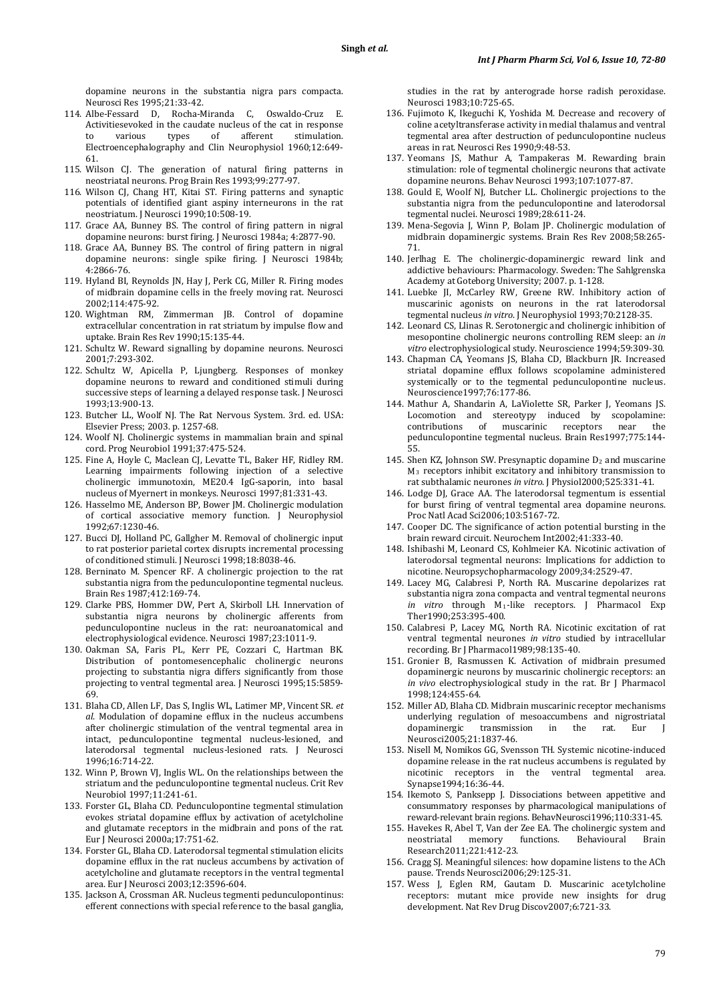dopamine neurons in the substantia nigra pars compacta. Neurosci Res 1995;21:33-42.

- 114. Albe-Fessard D, Rocha-Miranda C, Oswaldo-Cruz E. Activitiesevoked in the caudate nucleus of the cat in response<br>to various types of afferent stimulation. to various types of afferent stimulation. Electroencephalography and Clin Neurophysiol 1960;12:649- 61.
- 115. Wilson CJ. The generation of natural firing patterns in neostriatal neurons. Prog Brain Res 1993;99:277-97.
- 116. Wilson CJ, Chang HT, Kitai ST. Firing patterns and synaptic potentials of identified giant aspiny interneurons in the rat neostriatum. J Neurosci 1990;10:508-19.
- 117. Grace AA, Bunney BS. The control of firing pattern in nigral dopamine neurons: burst firing. J Neurosci 1984a; 4:2877-90.
- 118. Grace AA, Bunney BS. The control of firing pattern in nigral dopamine neurons: single spike firing. J Neurosci 1984b; 4:2866-76.
- 119. Hyland BI, Reynolds JN, Hay J, Perk CG, Miller R. Firing modes of midbrain dopamine cells in the freely moving rat. Neurosci 2002;114:475-92.
- 120. Wightman RM, Zimmerman JB. Control of dopamine extracellular concentration in rat striatum by impulse flow and uptake. Brain Res Rev 1990;15:135-44.
- 121. Schultz W. Reward signalling by dopamine neurons. Neurosci 2001;7:293-302.
- 122. Schultz W, Apicella P, Ljungberg. Responses of monkey dopamine neurons to reward and conditioned stimuli during successive steps of learning a delayed response task. J Neurosci 1993;13:900-13.
- 123. Butcher LL, Woolf NJ. The Rat Nervous System. 3rd. ed. USA: Elsevier Press; 2003. p. 1257-68.
- 124. Woolf NJ. Cholinergic systems in mammalian brain and spinal cord. Prog Neurobiol 1991;37:475-524.
- 125. Fine A, Hoyle C, Maclean CJ, Levatte TL, Baker HF, Ridley RM. Learning impairments following injection of a selective cholinergic immunotoxin, ME20.4 IgG-saporin, into basal nucleus of Myernert in monkeys. Neurosci 1997;81:331-43.
- 126. Hasselmo ME, Anderson BP, Bower JM. Cholinergic modulation of cortical associative memory function. J Neurophysiol 1992;67:1230-46.
- 127. Bucci DJ, Holland PC, Gallgher M. Removal of cholinergic input to rat posterior parietal cortex disrupts incremental processing of conditioned stimuli. J Neurosci 1998;18:8038-46.
- 128. Berninato M. Spencer RF. A cholinergic projection to the rat substantia nigra from the pedunculopontine tegmental nucleus. Brain Res 1987;412:169-74.
- 129. Clarke PBS, Hommer DW, Pert A, Skirboll LH. Innervation of substantia nigra neurons by cholinergic afferents from pedunculopontine nucleus in the rat: neuroanatomical and electrophysiological evidence. Neurosci 1987;23:1011-9.
- 130. Oakman SA, Faris PL, Kerr PE, Cozzari C, Hartman BK. Distribution of pontomesencephalic cholinergic neurons projecting to substantia nigra differs significantly from those projecting to ventral tegmental area. J Neurosci 1995;15:5859- 69.
- 131. Blaha CD, Allen LF, Das S, Inglis WL, Latimer MP, Vincent SR. *et al*. Modulation of dopamine efflux in the nucleus accumbens after cholinergic stimulation of the ventral tegmental area in intact, pedunculopontine tegmental nucleus-lesioned, and laterodorsal tegmental nucleus-lesioned rats. J Neurosci 1996;16:714-22.
- 132. Winn P, Brown VJ, Inglis WL. On the relationships between the striatum and the pedunculopontine tegmental nucleus. Crit Rev Neurobiol 1997;11:241-61.
- 133. Forster GL, Blaha CD. Pedunculopontine tegmental stimulation evokes striatal dopamine efflux by activation of acetylcholine and glutamate receptors in the midbrain and pons of the rat. Eur J Neurosci 2000a;17:751-62.
- 134. Forster GL, Blaha CD. Laterodorsal tegmental stimulation elicits dopamine efflux in the rat nucleus accumbens by activation of acetylcholine and glutamate receptors in the ventral tegmental area. Eur J Neurosci 2003;12:3596-604.
- 135. Jackson A, Crossman AR. Nucleus tegmenti pedunculopontinus: efferent connections with special reference to the basal ganglia,

studies in the rat by anterograde horse radish peroxidase. Neurosci 1983;10:725-65.

- 136. Fujimoto K, Ikeguchi K, Yoshida M. Decrease and recovery of coline acetyltransferase activity in medial thalamus and ventral tegmental area after destruction of pedunculopontine nucleus areas in rat. Neurosci Res 1990;9:48-53.
- 137. Yeomans JS, Mathur A, Tampakeras M. Rewarding brain stimulation: role of tegmental cholinergic neurons that activate dopamine neurons. Behav Neurosci 1993;107:1077-87.
- 138. Gould E, Woolf NJ, Butcher LL. Cholinergic projections to the substantia nigra from the pedunculopontine and laterodorsal tegmental nuclei. Neurosci 1989;28:611-24.
- 139. Mena-Segovia J, Winn P, Bolam JP. Cholinergic modulation of midbrain dopaminergic systems. Brain Res Rev 2008;58:265- 71.
- 140. Jerlhag E. The cholinergic-dopaminergic reward link and addictive behaviours: Pharmacology. Sweden: The Sahlgrenska Academy at Goteborg University; 2007. p. 1-128.
- 141. Luebke JI, McCarley RW, Greene RW. Inhibitory action of muscarinic agonists on neurons in the rat laterodorsal tegmental nucleus *in vitro*. J Neurophysiol 1993;70:2128-35.
- 142. Leonard CS, Llinas R. Serotonergic and cholinergic inhibition of mesopontine cholinergic neurons controlling REM sleep: an *in vitro* electrophysiological study. Neuroscience 1994;59:309-30.
- 143. Chapman CA, Yeomans JS, Blaha CD, Blackburn JR. Increased striatal dopamine efflux follows scopolamine administered systemically or to the tegmental pedunculopontine nucleus. Neuroscience1997;76:177-86.
- 144. Mathur A, Shandarin A, LaViolette SR, Parker J, Yeomans JS. Locomotion and stereotypy induced by scopolamine:<br>contributions of muscarinic receptors near the contributions of muscarinic receptors near the pedunculopontine tegmental nucleus. Brain Res1997;775:144- 55.
- 145. Shen KZ, Johnson SW. Presynaptic dopamine  $D_2$  and muscarine M3 receptors inhibit excitatory and inhibitory transmission to rat subthalamic neurones *in vitro*. J Physiol2000;525:331-41.
- 146. Lodge DJ, Grace AA. The laterodorsal tegmentum is essential for burst firing of ventral tegmental area dopamine neurons. Proc Natl Acad Sci2006;103:5167-72.
- 147. Cooper DC. The significance of action potential bursting in the brain reward circuit. Neurochem Int2002;41:333-40.
- 148. Ishibashi M, Leonard CS, Kohlmeier KA. Nicotinic activation of laterodorsal tegmental neurons: Implications for addiction to nicotine. Neuropsychopharmacology 2009;34:2529-47.
- 149. Lacey MG, Calabresi P, North RA. Muscarine depolarizes rat substantia nigra zona compacta and ventral tegmental neurons *in vitro* through M1 -like receptors. J Pharmacol Exp Ther1990;253:395-400.
- 150. Calabresi P, Lacey MG, North RA. Nicotinic excitation of rat ventral tegmental neurones *in vitro* studied by intracellular recording. Br J Pharmacol1989;98:135-40.
- 151. Gronier B, Rasmussen K. Activation of midbrain presumed dopaminergic neurons by muscarinic cholinergic receptors: an *in vivo* electrophysiological study in the rat. Br J Pharmacol 1998;124:455-64.
- 152. Miller AD, Blaha CD. Midbrain muscarinic receptor mechanisms underlying regulation of mesoaccumbens and nigrostriatal dopaminergic transmission in the rat. Eur J Neurosci2005;21:1837-46.
- 153. Nisell M, Nomikos GG, Svensson TH. Systemic nicotine-induced dopamine release in the rat nucleus accumbens is regulated by nicotinic receptors in the ventral tegmental area. Synapse1994;16:36-44.
- 154. Ikemoto S, Panksepp J. Dissociations between appetitive and consummatory responses by pharmacological manipulations of reward-relevant brain regions. BehavNeurosci1996;110:331-45.
- 155. Havekes R, Abel T, Van der Zee EA. The cholinergic system and Behavioural Research2011;221:412-23.
- 156. Cragg SJ. Meaningful silences: how dopamine listens to the ACh pause. Trends Neurosci2006;29:125-31.
- 157. Wess J, Eglen RM, Gautam D. Muscarinic acetylcholine receptors: mutant mice provide new insights for drug development. Nat Rev Drug Discov2007;6:721-33.